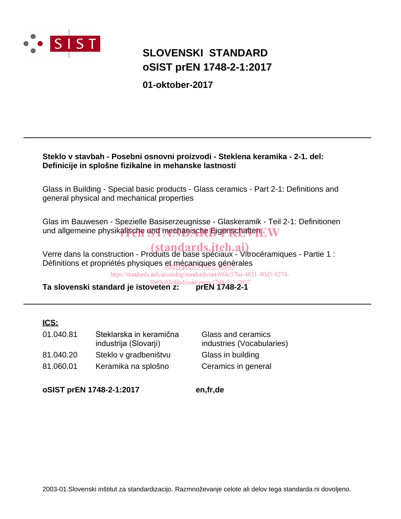

# **oSIST prEN 1748-2-1:2017 SLOVENSKI STANDARD**

**01-oktober-2017**

## **Steklo v stavbah - Posebni osnovni proizvodi - Steklena keramika - 2-1. del: Definicije in splošne fizikalne in mehanske lastnosti**

Glass in Building - Special basic products - Glass ceramics - Part 2-1: Definitions and general physical and mechanical properties

Glas im Bauwesen - Spezielle Basiserzeugnisse - Glaskeramik - Teil 2-1: Definitionen und allgemeine physikalische und mechanische Eigenschaften $\boldsymbol{\mathrm{FW}}$ 

Verre dans la construction - Produits de base spéciaux - Vitrocéramiques - Partie 1 : Définitions et propriétés physiques <u>et mécaniques gén</u>érales

https://standards.iteh.ai/catalog/standards/sist/694e37ba-4831-40d5-9274-

**Ta slovenski standard je istoveten z: prEN 1748-2-1** 3b63c63efded/osist-pren-1748-2-1-2017

# **ICS:**

| 01.040.81 | Steklarska in keramična<br>industrija (Slovarji) |
|-----------|--------------------------------------------------|
| 81.040.20 | Steklo v gradbeništvu                            |
| 81.060.01 | Keramika na splošno                              |
|           |                                                  |

Ceramics in general Glass in building Glass and ceramics industries (Vocabularies)

**oSIST prEN 1748-2-1:2017 en,fr,de**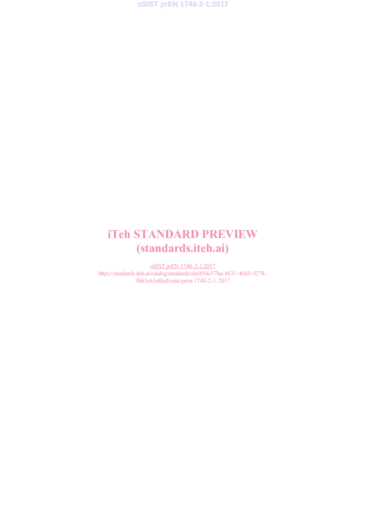# iTeh STANDARD PREVIEW (standards.iteh.ai)

oSIST prEN 1748-2-1:2017 https://standards.iteh.ai/catalog/standards/sist/694e37ba-4831-40d5-9274- 3b63c63efded/osist-pren-1748-2-1-2017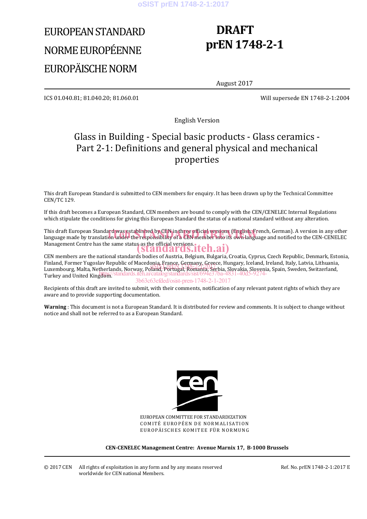# EUROPEAN STANDARD NORME EUROPÉENNE EUROPÄISCHE NORM

# **DRAFT prEN 1748-2-1**

August 2017

ICS 01.040.81; 81.040.20; 81.060.01 Will supersede EN 1748-2-1:2004

English Version

# Glass in Building - Special basic products - Glass ceramics - Part 2-1: Definitions and general physical and mechanical properties

This draft European Standard is submitted to CEN members for enquiry. It has been drawn up by the Technical Committee CEN/TC 129.

If this draft becomes a European Standard, CEN members are bound to comply with the CEN/CENELEC Internal Regulations which stipulate the conditions for giving this European Standard the status of a national standard without any alteration.

This draft European Standard was established by CEN in three official versions (English, French, German). A version in any other This draft European Standard was established by CEN in three official versions (English, French, German). A version in any other<br>language made by translation under the responsibility of a CEN member into its own language a Management Centre has the same status as the official versions.<br>
STAN QAPOS.Iteh.ai)

CEN members are the national standards bodies of Austria, Belgium, Bulgaria, Croatia, Cyprus, Czech Republic, Denmark, Estonia, Finland, Former Yugoslav Republic of Macedonia, France, Germany, Greece, Hungary, Iceland, Ireland, Italy, Latvia, Lithuania, rinianu, roriner Tugosiav Republic of Maceuonia, France, Germany, Greece, Hungary, Icelanu, Irelanu, Italy, Latvia, Lithuania,<br>Luxembourg, Malta, Netherlands, Norway, Poland, Portugal, Romania, Serbia, Slovakia, Slovenia, Turkey and United Kingdom.<sup>//Sta</sup> https://standards.iteh.ai/catalog/standards/sist/694e37ba-4831-40d5-9274-

3b63c63efded/osist-pren-1748-2-1-2017

Recipients of this draft are invited to submit, with their comments, notification of any relevant patent rights of which they are aware and to provide supporting documentation.

**Warning** : This document is not a European Standard. It is distributed for review and comments. It is subject to change without notice and shall not be referred to as a European Standard.



EUROPEAN COMMITTEE FOR STANDARDIZATION COMITÉ EUROPÉEN DE NORMALISATION EUROPÄISCHES KOMITEE FÜR NORMUNG

**CEN-CENELEC Management Centre: Avenue Marnix 17, B-1000 Brussels** 

© 2017 CEN All rights of exploitation in any form and by any means reserved worldwide for CEN national Members.

Ref. No. prEN 1748-2-1:2017 E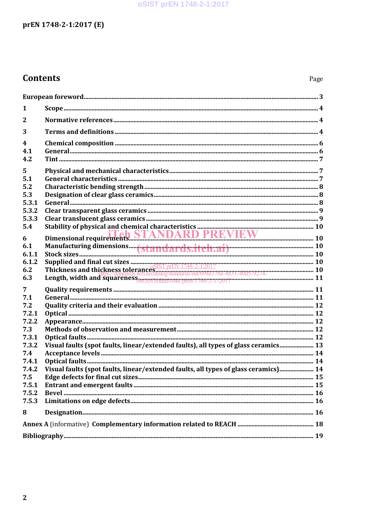## oSIST prEN 1748-2-1:2017

# prEN 1748-2-1:2017 (E)

# **Contents**

| 1                       |                                                                                           |  |  |
|-------------------------|-------------------------------------------------------------------------------------------|--|--|
| $\overline{2}$          |                                                                                           |  |  |
| 3                       |                                                                                           |  |  |
| $\overline{\mathbf{4}}$ |                                                                                           |  |  |
| 4.1<br>4.2              |                                                                                           |  |  |
| 5                       |                                                                                           |  |  |
| 5.1                     |                                                                                           |  |  |
| 5.2                     |                                                                                           |  |  |
| 5.3<br>5.3.1            |                                                                                           |  |  |
| 5.3.2                   |                                                                                           |  |  |
| 5.3.3                   |                                                                                           |  |  |
| 5.4                     |                                                                                           |  |  |
| 6                       | Dimensional requirements. STANDARD PREVIEW 10                                             |  |  |
| 6.1<br>6.1.1            |                                                                                           |  |  |
| 6.1.2                   |                                                                                           |  |  |
| 6.2                     |                                                                                           |  |  |
| 6.3                     |                                                                                           |  |  |
| 7                       |                                                                                           |  |  |
| 7.1<br>7.2              |                                                                                           |  |  |
| 7.2.1                   |                                                                                           |  |  |
| 7.2.2                   |                                                                                           |  |  |
| 7.3                     |                                                                                           |  |  |
| 7.3.1<br>7.3.2          | Visual faults (spot faults, linear/extended faults), all types of glass ceramics 13       |  |  |
| 7.4                     |                                                                                           |  |  |
| 7.4.1                   |                                                                                           |  |  |
| 7.5                     | 7.4.2 Visual faults (spot faults, linear/extended faults, all types of glass ceramics) 14 |  |  |
| 7.5.1                   |                                                                                           |  |  |
| 7.5.2                   |                                                                                           |  |  |
| 7.5.3                   |                                                                                           |  |  |
| 8                       |                                                                                           |  |  |
|                         |                                                                                           |  |  |
|                         |                                                                                           |  |  |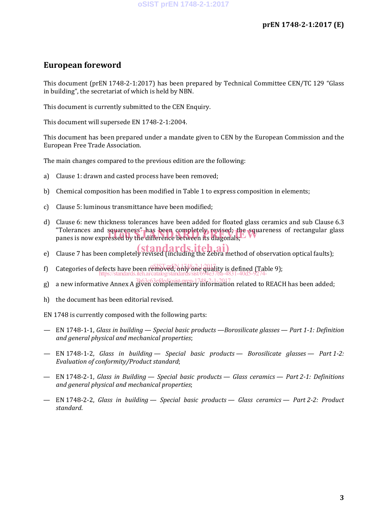# **European foreword**

This document (prEN 1748-2-1:2017) has been prepared by Technical Committee CEN/TC 129 "Glass in building", the secretariat of which is held by NBN.

This document is currently submitted to the CEN Enquiry.

This document will supersede EN 1748-2-1:2004.

This document has been prepared under a mandate given to CEN by the European Commission and the European Free Trade Association.

The main changes compared to the previous edition are the following:

- a) Clause 1: drawn and casted process have been removed;
- b) Chemical composition has been modified in Table 1 to express composition in elements;
- c) Clause 5: luminous transmittance have been modified;
- d) Clause 6: new thickness tolerances have been added for floated glass ceramics and sub Clause 6.3 "Tolerances and squareness" has been completely revised; the squareness of rectangular glass "Tolerances and squareness" has been completely revised; the squar<br>panes is now expressed by the difference between its diagonals;
- e) Clause 7 has been completely revised (including the Zebra method of observation optical faults);
- f) Categories of defects have been removed, only one quality is defined (Table 9); https://standards.iteh.ai/catalog/standards/sist/694e37ba-4831-40d5-9274-
- g) a new informative Annex A given complementary information related to REACH has been added; 3b63c63efded/osist-pren-1748-2-1-2017
- h) the document has been editorial revised.
- EN 1748 is currently composed with the following parts:
- EN 1748-1-1, *Glass in building — Special basic products —Borosilicate glasses — Part 1-1: Definition and general physical and mechanical properties*;
- EN 1748-1-2, *Glass in building — Special basic products — Borosilicate glasses — Part 1-2: Evaluation of conformity/Product standard*;
- EN 1748-2-1, *Glass in Building — Special basic products — Glass ceramics — Part 2-1: Definitions and general physical and mechanical properties*;
- EN 1748-2-2, *Glass in building — Special basic products — Glass ceramics — Part 2-2: Product standard*.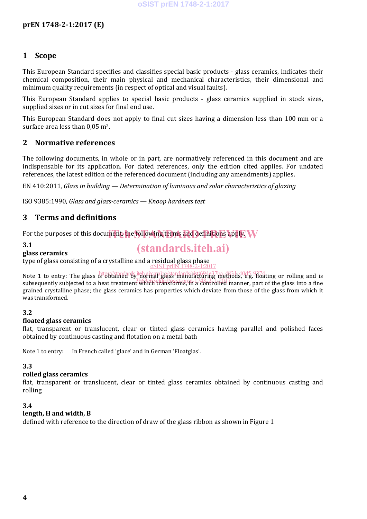### **prEN 1748-2-1:2017 (E)**

#### **1 Scope**

This European Standard specifies and classifies special basic products - glass ceramics, indicates their chemical composition, their main physical and mechanical characteristics, their dimensional and minimum quality requirements (in respect of optical and visual faults).

This European Standard applies to special basic products - glass ceramics supplied in stock sizes, supplied sizes or in cut sizes for final end use.

This European Standard does not apply to final cut sizes having a dimension less than 100 mm or a surface area less than 0,05 m2.

#### **2 Normative references**

The following documents, in whole or in part, are normatively referenced in this document and are indispensable for its application. For dated references, only the edition cited applies. For undated references, the latest edition of the referenced document (including any amendments) applies.

EN 410:2011, *Glass in building — Determination of luminous and solar characteristics of glazing*

ISO 9385:1990, *Glass and glass-ceramics — Knoop hardness test*

### **3 Terms and definitions**

For the purposes of this document, the following terms and definitions apply.  $\color{red}\bigvee\color{black}$ 

#### **3.1**

# (standards.iteh.ai)

#### **glass ceramics**

type of glass consisting of a crystalline and a residual glass phase<br><u>0SIST prEN 1748-2-1:2017</u>

Note 1 to entry: The glass is botained by he ai/catalog/standards/sist/694e37ba-4831-40d5-9374-ting or rolling and is subsequently subjected to a heat treatment which transforms, in a controlled manner, part of the glass into a fine subsequently subjected to a heat treatment which transforms, in a controlled manner, part of the glass int grained crystalline phase; the glass ceramics has properties which deviate from those of the glass from which it was transformed.

#### **3.2**

#### **floated glass ceramics**

flat, transparent or translucent, clear or tinted glass ceramics having parallel and polished faces obtained by continuous casting and flotation on a metal bath

Note 1 to entry: In French called 'glace' and in German 'Floatglas'.

#### **3.3**

#### **rolled glass ceramics**

flat, transparent or translucent, clear or tinted glass ceramics obtained by continuous casting and rolling

#### **3.4**

#### **length, H and width, B**

defined with reference to the direction of draw of the glass ribbon as shown in Figure 1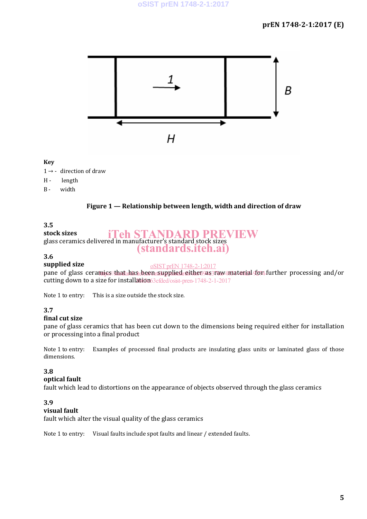

#### **Key**

- $1 \rightarrow$  direction of draw
- H length
- B width



#### **3.5**

#### **stock sizes** glass ceramics delivered in manufacturer's standard stock sizes iTeh STANDARD PREVIEW (standards.iteh.ai)

#### **3.6**

#### **supplied size**

pane of glass ceramics/thatahas been supplied either as naw material for further processing and/or cutting down to a size for installation osefded/osist-pren-1748-2-1-2017 oSIST prEN 1748-2-1:2017

Note 1 to entry: This is a size outside the stock size.

#### **3.7**

#### **final cut size**

pane of glass ceramics that has been cut down to the dimensions being required either for installation or processing into a final product

Note 1 to entry: Examples of processed final products are insulating glass units or laminated glass of those dimensions.

#### **3.8**

#### **optical fault**

fault which lead to distortions on the appearance of objects observed through the glass ceramics

#### **3.9**

#### **visual fault**

fault which alter the visual quality of the glass ceramics

Note 1 to entry: Visual faults include spot faults and linear / extended faults.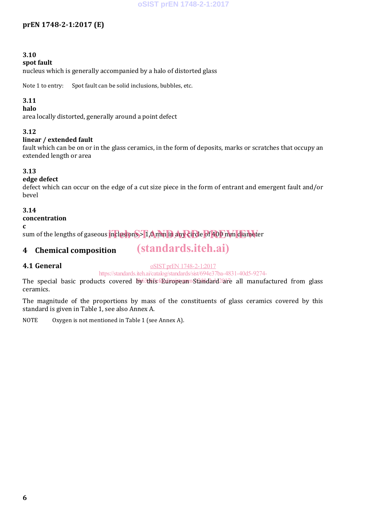### **prEN 1748-2-1:2017 (E)**

#### **3.10**

#### **spot fault**

nucleus which is generally accompanied by a halo of distorted glass

Note 1 to entry: Spot fault can be solid inclusions, bubbles, etc.

#### **3.11**

#### **halo**

area locally distorted, generally around a point defect

#### **3.12**

#### **linear / extended fault**

fault which can be on or in the glass ceramics, in the form of deposits, marks or scratches that occupy an extended length or area

#### **3.13**

#### **edge defect**

defect which can occur on the edge of a cut size piece in the form of entrant and emergent fault and/or bevel

#### **3.14**

#### **concentration**

**c**

sum of the lengths of gaseous inclusions > 1,0 mm in any circle of 400 mm diameter

## **4 Chemical composition**

# (standards.iteh.ai)

#### **4.1 General**

oSIST prEN 1748-2-1:2017

https://standards.iteh.ai/catalog/standards/sist/694e37ba-4831-40d5-9274-

The special basic products covered by this Europeann-Standard are all manufactured from glass ceramics.

The magnitude of the proportions by mass of the constituents of glass ceramics covered by this standard is given in Table 1, see also Annex A.

NOTE Oxygen is not mentioned in Table 1 (see Annex A).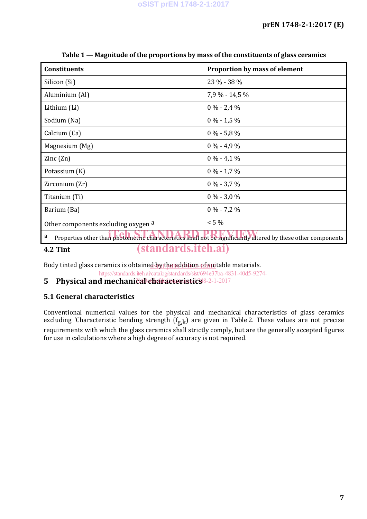| <b>Constituents</b>                                                                                                 | Proportion by mass of element |  |
|---------------------------------------------------------------------------------------------------------------------|-------------------------------|--|
| Silicon (Si)                                                                                                        | 23 % - 38 %                   |  |
| Aluminium (Al)                                                                                                      | 7,9 % - 14,5 %                |  |
| Lithium (Li)                                                                                                        | $0\% - 2.4\%$                 |  |
| Sodium (Na)                                                                                                         | $0\% - 1.5\%$                 |  |
| Calcium (Ca)                                                                                                        | $0\% - 5.8\%$                 |  |
| Magnesium (Mg)                                                                                                      | $0\% - 4.9\%$                 |  |
| $\text{Zinc}(\text{Zn})$                                                                                            | $0\% - 4.1\%$                 |  |
| Potassium (K)                                                                                                       | $0\% - 1.7\%$                 |  |
| Zirconium (Zr)                                                                                                      | $0\% - 3.7\%$                 |  |
| Titanium (Ti)                                                                                                       | $0\% - 3.0\%$                 |  |
| Barium (Ba)                                                                                                         | $0\% - 7,2\%$                 |  |
| Other components excluding oxygen a                                                                                 | $< 5\%$                       |  |
| Properties other than photometric characteristics shall not be significantly altered by these other components<br>a |                               |  |

**Table 1 — Magnitude of the proportions by mass of the constituents of glass ceramics**

**4.2 Tint**

(standards.iteh.ai)

Body tinted glass ceramics is obtaine<u>d by the addition of sui</u>table materials.

https://standards.iteh.ai/catalog/standards/sist/694e37ba-4831-40d5-9274-

**5** Physical and mechanical characteristics<sup>8-2-1-2017</sup>

## **5.1 General characteristics**

Conventional numerical values for the physical and mechanical characteristics of glass ceramics excluding 'Characteristic bending strength  $(f_{g,k})$  are given in Table 2. These values are not precise requirements with which the glass ceramics shall strictly comply, but are the generally accepted figures for use in calculations where a high degree of accuracy is not required.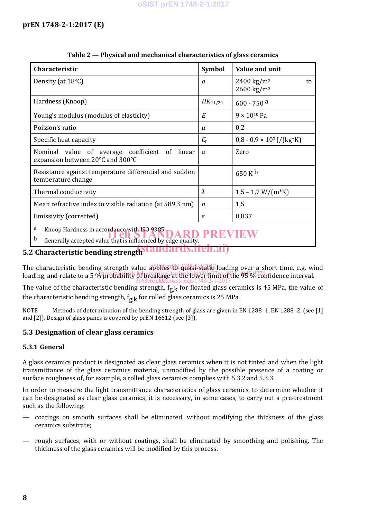| Characteristic                                                                        | <b>Symbol</b>    | Value and unit                                       |  |
|---------------------------------------------------------------------------------------|------------------|------------------------------------------------------|--|
| Density (at $18^{\circ}$ C)                                                           | $\rho$           | $2400 \text{ kg/m}^3$<br>to<br>$2600 \text{ kg/m}^3$ |  |
| Hardness (Knoop)                                                                      | $HK_{0,1/20}$    | $600 - 750a$                                         |  |
| Young's modulus (modulus of elasticity)                                               | Е                | $9 \times 10^{10}$ Pa                                |  |
| Poisson's ratio                                                                       | $\mu$            | 0,2                                                  |  |
| Specific heat capacity                                                                | $C_{\rm p}$      | $0.8 - 0.9 \times 10^{3}$ J/(kg*K)                   |  |
| Nominal value of average coefficient of<br>linear<br>expansion between 20°C and 300°C | $\alpha$         | Zero                                                 |  |
| Resistance against temperature differential and sudden<br>temperature change          |                  | 650K <sup>b</sup>                                    |  |
| Thermal conductivity                                                                  | λ                | $1,5 - 1,7 W/(m*K)$                                  |  |
| Mean refractive index to visible radiation (at 589,3 nm)                              | $\boldsymbol{n}$ | 1,5                                                  |  |
| Emissivity (corrected)                                                                | ε                | 0,837                                                |  |
| a<br>Knoop Hardness in accordance with ISO 9385                                       |                  |                                                      |  |

**Table 2 — Physical and mechanical characteristics of glass ceramics**

 $\sigma$  Knoop Hardness in accordance with ISO 9385.<br>B Generally accepted value that is influenced by edge quality.

# **5.2** Characteristic bending strength **Standards.iteh.ai**)

The characteristic bending strength value applies to  $\frac{1}{4}$   $\frac{1}{4}$   $\frac{1}{4}$  loading over a short time, e.g. wind loading, and relate to a 5 % probability of breakage at the lower limit of the 95-%? difidence interval. 3b63c63efded/osist-pren-1748-2-1-2017

The value of the characteristic bending strength,  $f_{g,k}$  for floated glass ceramics is 45 MPa, the value of the characteristic bending strength,  $f_{g,k}$  for rolled glass ceramics is 25 MPa.

NOTE Methods of determination of the bending strength of glass are given in EN 1288–1, EN 1288–2, (see [1] and [2]). Design of glass panes is covered by prEN 16612 (see [3]).

### **5.3 Designation of clear glass ceramics**

### **5.3.1 General**

A glass ceramics product is designated as clear glass ceramics when it is not tinted and when the light transmittance of the glass ceramics material, unmodified by the possible presence of a coating or surface roughness of, for example, a rolled glass ceramics complies with 5.3.2 and 5.3.3.

In order to measure the light transmittance characteristics of glass ceramics, to determine whether it can be designated as clear glass ceramics, it is necessary, in some cases, to carry out a pre-treatment such as the following:

- coatings on smooth surfaces shall be eliminated, without modifying the thickness of the glass ceramics substrate;
- rough surfaces, with or without coatings, shall be eliminated by smoothing and polishing. The thickness of the glass ceramics will be modified by this process.